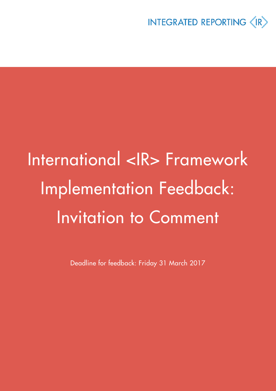

# International <IR> Framework Implementation Feedback: Invitation to Comment

Deadline for feedback: Friday 31 March 2017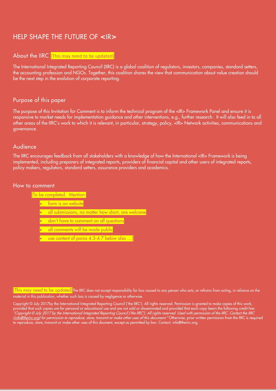## HELP SHAPE THE FUTURE OF **<**IR**>**

#### About the IIRC [This may need to be updated]

The International Integrated Reporting Council (IIRC) is a global coalition of regulators, investors, companies, standard setters, the accounting profession and NGOs. Together, this coalition shares the view that communication about value creation should be the next step in the evolution of corporate reporting.

#### Purpose of this paper

The purpose of this Invitation for Comment is to inform the technical program of the <IR> Framework Panel and ensure it is responsive to market needs for implementation guidance and other interventions, e.g., further research. It will also feed in to all other areas of the IIRC's work to which it is relevant, in particular, strategy, policy, <IR> Network activities, communications and governance.

#### Audience

The IIRC encourages feedback from all stakeholders with a knowledge of how the International <IR> Framework is being implemented, including preparers of integrated reports, providers of financial capital and other users of integrated reports, policy makers, regulators, standard setters, assurance providers and academics.

#### How to comment

[To be completed. Mention:

- form is on website
- all submissions, no matter how short, are welcome
- don't have to comment on all questions
- all comments will be made public
- use content of paras 4.5-4.7 below also …]

This may need to be updated The IIRC does not accept responsibility for loss caused to any person who acts, or refrains from acting, in reliance on the material in this publication, whether such loss is caused by negligence or otherwise.

Copyright © July 2017by the International Integrated Reporting Council ('the IIRC'). All rights reserved. Permission is granted to make copies of this work, provided that such copies are for personal or educational use and are not sold or disseminated and provided that each copy bears the following credit line: "Copyright © July 2017 by the International Integrated Reporting Council ('the IIRC'). All rights reserved. Used with permission of the IIRC. Contact the IIRC (<u>info@theiirc.org</u>) for permission to reproduce, store, transmit or make other uses of this document." Otherwise, prior written permission from the IIRC is required to reproduce, store, transmit or make other uses of this doument, except as permitted by law. Contact: info@theiirc.org.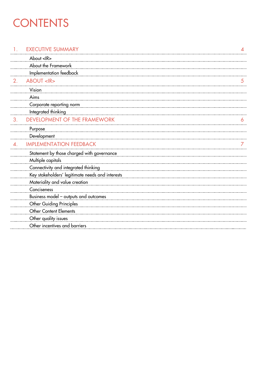# **CONTENTS**

#### 1. EXECUTIVE SUMMARY

|    | About <ir></ir>                                  |   |
|----|--------------------------------------------------|---|
|    | About the Framework                              |   |
|    | Implementation feedback                          |   |
| 2. | <b>ABOUT <ir></ir></b>                           | 5 |
|    | Vision                                           |   |
|    | Aims                                             |   |
|    | Corporate reporting norm                         |   |
|    | Integrated thinking                              |   |
| 3. | DEVELOPMENT OF THE FRAMEWORK                     | n |
|    | Purpose                                          |   |
|    | Development                                      |   |
| 4. | <b>IMPLEMENTATION FEEDBACK</b>                   |   |
|    | Statement by those charged with governance       |   |
|    | Multiple capitals                                |   |
|    | Connectivity and integrated thinking             |   |
|    | Key stakeholders' legitimate needs and interests |   |
|    | Materiality and value creation                   |   |
|    | Conciseness                                      |   |
|    | Business model - outputs and outcomes            |   |
|    | Other Guiding Principles                         |   |
|    | Other Content Elements                           |   |
|    | Other quality issues                             |   |
|    | Other incentives and barriers                    |   |
|    |                                                  |   |

[4](#page-3-0)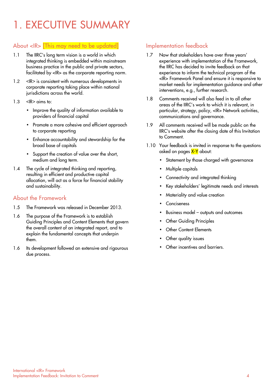# <span id="page-3-0"></span>1. EXECUTIVE SUMMARY

### About <IR> [This may need to be updated]

- 1.1 The IIRC's long term vision is a world in which integrated thinking is embedded within mainstream business practice in the public and private sectors, facilitated by <IR> as the corporate reporting norm.
- 1.2 <IR> is consistent with numerous developments in corporate reporting taking place within national jurisdictions across the world.
- $1.3$  <IR $>$  aims to:
	- Improve the quality of information available to providers of financial capital
	- Promote a more cohesive and efficient approach to corporate reporting
	- Enhance accountability and stewardship for the broad base of capitals
	- Support the creation of value over the short, medium and long term.
- 1.4 The cycle of integrated thinking and reporting, resulting in efficient and productive capital allocation, will act as a force for financial stability and sustainability.

#### About the Framework

- 1.5 The Framework was released in December 2013.
- 1.6 The purpose of the Framework is to establish Guiding Principles and Content Elements that govern the overall content of an integrated report, and to explain the fundamental concepts that underpin them.
- 1.6 Its development followed an extensive and rigourous due process.

### Implementation feedback

- 1.7 Now that stakeholders have over three years' experience with implementation of the Framework, the IIRC has decided to invite feedback on that experience to inform the technical program of the <IR> Framework Panel and ensure it is responsive to market needs for implementation guidance and other interventions, e.g., further research.
- 1.8 Comments received will also feed in to all other areas of the IIRC's work to which it is relevant, in particular, strategy, policy, <IR> Network activities, communications and governance.
- 1.9 All comments received will be made public on the IIRC's website after the closing date of this Invitation to Comment.
- 1.10 Your feedback is invited in response to the questions asked on pages X-Y about:
	- Statement by those charged with governance
	- Multiple capitals
	- Connectivity and integrated thinking
	- Key stakeholders' legitimate needs and interests
	- Materiality and value creation
	- **Conciseness**
	- Business model outputs and outcomes
	- **Other Guiding Principles**
	- **Other Content Elements**
	- Other quality issues
	- Other incentives and barriers.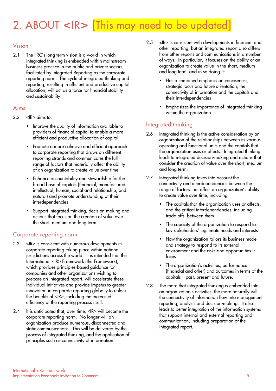# 2. ABOUT **<**IR**>** [This may need to be updated]

### Vision

2.1 The IIRC's long term vision is a world in which integrated thinking is embedded within mainstream business practice in the public and private sectors, facilitated by Integrated Reporting as the corporate reporting norm. The cycle of integrated thinking and reporting, resulting in efficient and productive capital allocation, will act as a force for financial stability and sustainability.

#### Aims

- $2.2 \times \mathbb{R}$  aims to:
	- Improve the quality of information available to providers of financial capital to enable a more efficient and productive allocation of capital
	- Promote a more cohesive and efficient approach to corporate reporting that draws on different reporting strands and communicates the full range of factors that materially affect the ability of an organization to create value over time
	- Enhance accountability and stewardship for the broad base of capitals (financial, manufactured, intellectual, human, social and relationship, and natural) and promote understanding of their interdependencies
	- Support integrated thinking, decision-making and actions that focus on the creation of value over the short, medium and long term.

#### Corporate reporting norm

- 2.3 <IR> is consistent with numerous developments in corporate reporting taking place within national jurisdictions across the world. It is intended that the International <IR> Framework (the Framework), which provides principles-based guidance for companies and other organizations wishing to prepare an integrated report, will accelerate these individual initiatives and provide impetus to greater innovation in corporate reporting globally to unlock the benefits of <IR>, including the increased efficiency of the reporting process itself.
- 2.4 It is anticipated that, over time, <IR> will become the corporate reporting norm. No longer will an organization produce numerous, disconnected and static communications. This will be delivered by the process of integrated thinking, and the application of principles such as connectivity of information.
- 2.5 <IR> is consistent with developments in financial and other reporting, but an integrated report also differs from other reports and communications in a number of ways. In particular, it focuses on the ability of an organization to create value in the short, medium and long term, and in so doing it:
	- Has a combined emphasis on conciseness, strategic focus and future orientation, the connectivity of information and the capitals and their interdependencies
	- Emphasizes the importance of integrated thinking within the organization.

### Integrated thinking

- 2.6 Integrated thinking is the active consideration by an organization of the relationships between its various operating and functional units and the capitals that the organization uses or affects. Integrated thinking leads to integrated decision-making and actions that consider the creation of value over the short, medium and long term.
- 2.7 Integrated thinking takes into account the connectivity and interdependencies between the range of factors that affect an organization's ability to create value over time, including:
	- The capitals that the organization uses or affects, and the critical interdependencies, including trade-offs, between them
	- The capacity of the organization to respond to key stakeholders' legitimate needs and interests
	- How the organization tailors its business model and strategy to respond to its external environment and the risks and opportunities it faces
	- The organization's activities, performance (financial and other) and outcomes in terms of the capitals – past, present and future.
- 2.8 The more that integrated thinking is embedded into an organization's activities, the more naturally will the connectivity of information flow into management reporting, analysis and decision-making. It also leads to better integration of the information systems that support internal and external reporting and communication, including preparation of the integrated report.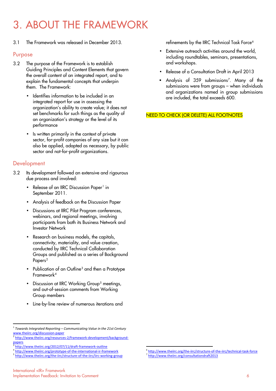# 3. ABOUT THE FRAMEWORK

3.1 The Framework was released in December 2013.

#### Purpose

- 3.2 The purpose of the Framework is to establish Guiding Principles and Content Elements that govern the overall content of an integrated report, and to explain the fundamental concepts that underpin them. The Framework:
	- Identifies information to be included in an integrated report for use in assessing the organization's ability to create value; it does not set benchmarks for such things as the quality of an organization's strategy or the level of its performance
	- Is written primarily in the context of private sector, for-profit companies of any size but it can also be applied, adapted as necessary, by public sector and not-for-profit organizations.

#### **Development**

- 3.2 Its development followed an extensive and rigourous due process and involved:
	- Release of an IIRC Discussion Paper<sup>[1](#page-5-0)</sup> in September 2011.
	- Analysis of feedback on the Discussion Paper
	- Discussions at IIRC Pilot Program conferences, webinars, and regional meetings, involving participants from both its Business Network and Investor Network
	- Research on business models, the capitals, connectivity, materiality, and value creation, conducted by IIRC Technical Collaboration Groups and published as a series of Background Papers<sup>[2](#page-5-1)</sup>
	- Publication of an Outline<sup>[3](#page-5-2)</sup> and then a Prototype Framework[4](#page-5-3)
	- Discussion at IIRC Working Group<sup>[5](#page-5-4)</sup> meetings, and out-of-session comments from Working Group members
	- Line-by-line review of numerous iterations and
- Extensive outreach activities around the world, including roundtables, seminars, presentations, and workshops.
- Release of a Consultation Draft in April 2013
- Analysis of  $359$  submissions<sup>7</sup>. Many of the submissions were from groups – when individuals and organizations named in group submissions are included, the total exceeds 600.

NEED TO CHECK (OR DELETE) ALL FOOTNOTES

<span id="page-5-0"></span> <sup>1</sup> *Towards Integrated Reporting – Communicating Value in the 21st Century* [www.theiirc.org/discussion-paper](http://www.theiirc.org/discussion-paper)<br>
<sup>2</sup> [http://www.theiirc.org/resources-2/framework-development/background-](http://www.theiirc.org/resources-2/framework-development/background-papers)

<span id="page-5-1"></span>[papers](http://www.theiirc.org/resources-2/framework-development/background-papers)<br>
<sup>3</sup>http://www.theiirc.org/2012/07/11/draft-framework-outline

<span id="page-5-2"></span>

<sup>&</sup>lt;sup>4</sup> <http://www.theiirc.org/prototype-of-the-international-ir-framework>

<span id="page-5-4"></span><span id="page-5-3"></span><sup>5</sup> <http://www.theiirc.org/the-iirc/structure-of-the-iirc/iirc-working-group>

 $\delta$  <http://www.theiirc.org/the-iirc/structure-of-the-iirc/technical-task-force>

<http://www.theiirc.org/consultationdraft2013>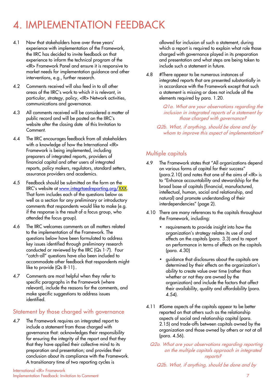- 4.1 Now that stakeholders have over three years' experience with implementation of the Framework, the IIRC has decided to invite feedback on that experience to inform the technical program of the <IR> Framework Panel and ensure it is responsive to market needs for implementation guidance and other interventions, e.g., further research.
- 4.2 Comments received will also feed in to all other areas of the IIRC's work to which it is relevant, in particular, strategy, policy, <IR> Network activities, communications and governance.
- 4.3 All comments received will be considered a matter of public record and will be posted on the IIRC's website after the closing date of this Invitation to Comment.
- 4.4 The IIRC encourages feedback from all stakeholders with a knowledge of how the International <IR> Framework is being implemented, including preparers of integrated reports, providers of financial capital and other users of integrated reports, policy makers, regulators, standard setters, assurance providers and academics.
- 4.5 Feedback should be submitted on the form on the IIRC's website at [www.integrtaedreporting.org/XXX.](http://www.integrtaedreporting.org/XXX) That form includes each of the questions below as well as a section for any preliminary or introductory comments that respondents would like to make (e.g. if the response is the result of a focus group, who attended the focus group).
- 4.6 The IIRC welcomes comments on all matters related to the implementation of the Framework. The questions below have been formulated to address key issues identified through preliminary research conducted or reviewed by the IIRC (Qs 1-7). Four "catch-all" questions have also been included to accommodate other feedback that respondents might like to provide (Qs 8-11)..
- 4.7 Comments are most helpful when they refer to specific paragraphs in the Framework (where relevant), include the reasons for the comments, and make specific suggestions to address issues identified.

### Statement by those charged with governance

4.7 The Framework requires an integrated report to include a statement from those charged with governance that: acknowledges their responsibility for ensuring the integrity of the report and that they that they have applied their collective mind to its preparation and presentation; and provides their conclusion about its compliance with the Framework. A transitionary time of two reporting cycles is

International <IR> Framework Implementation Feedback: Invitation to Comment 7

allowed for inclusion of such a statement, during which a report is required to explain what role those charged with governance played in its preparation and presentation and what steps are being taken to include such a statement in future.

4.8 #There appear to be numerous instances of integrated reports that are presented substantially in in accordance with the Framework except that such a statement is missing or does not include all the elements required by para. 1.20.

> Q1a. What are your observations regarding the inclusion in integrated reports of a statement by those charged with governance?

Q2b. What, if anything, should be done and by whom to improve this aspect of implementation?

### Multiple capitals

- 4.9 The Framework states that "All organizations depend on various forms of capital for their success" (para.2.10) and notes that one of the aims of <IR> is to "Enhance accountability and stewardship for the broad base of capitals (financial, manufactured, intellectual, human, social and relationship, and natural) and promote understanding of their interdependencies" (page 2).
- 4.10 There are many references to the capitals throughout the Framework, including:
	- requirements to provide insight into how the organization's strategy relates its use of and effects on the capitals (para. 3.3) and to report on performance in terms of effects on the capitals (para. 4.30)
	- guidance that disclosures about the capitals are determined by their effects on the organization's ability to create value over time (rather than whether or not they are owned by the organization) and include the factors that affect their availability, quality and affordability (para. 4.54).
- 4.11 #Some aspects of the capitals appear to be better reported on that others such as the relationship aspects of social and relationship capital (para. 2.15) and trade-offs between capitals owned by the organization and those owned by others or not at all (para. 4.56).

Q2a. What are your observations regarding reporting on the multiple capitals approach in integrated reports?

Q2b. What, if anything, should be done and by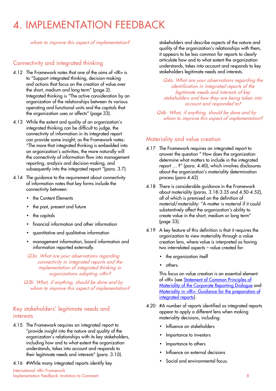whom to improve this aspect of implementation?

### Connectivity and integrated thinking

- 4.12 The Framework notes that one of the aims of <IR> is to "Support integrated thinking, decision-making and actions that focus on the creation of value over the short, medium and long term" (page 2). Integrated thinking is "The active consideration by an organization of the relationships between its various operating and functional units and the capitals that the organization uses or affects" (page 33).
- 4.13 While the extent and quality of an organization's integrated thinking can be difficult to judge, the connectivity of information in its integrated report can provide some insight; as the Framework notes: "The more that integrated thinking is embedded into an organization's activities, the more naturally will the connectivity of information flow into management reporting, analysis and decision-making, and subsequently into the integrated report "(para. 3.7).
- 4.14 The guidance to the requirement about connectivity of information notes that key forms include the connectivity between:
	- the Content Elements
	- the past, present and future
	- the capitals
	- financial information and other information
	- quantitative and qualitative information
	- management information, board information and information reported externally.

Q3a. What are your observations regarding connectivity in integrated reports and the implementation of integrated thinking in organizations adopting <IR>?

Q3b. What, if anything, should be done and by whom to improve this aspect of implementation?

#### Key stakeholders' legitimate needs and interests

- 4.15 The Framework requires an integrated report to "provide insight into the nature and quality of the organization's relationships with its key stakeholders, including how and to what extent the organization understands, takes into account and responds to their legitimate needs and interests" (para. 3.10).
- 4.16 #While many integrated reports identify key

International <IR> Framework Implementation Feedback: Invitation to Comment 8

stakeholders and describe aspects of the nature and quality of the organization's relationships with them, it appears to be less common for reports to clearly articulate how and to what extent the organization understands, takes into account and responds to key stakeholders legitimate needs and interests.

Q4a. What are your observations regarding the identification in integrated reports of the legitimate needs and interests of key stakeholders and how they are being taken into account and responded to?

Q4b. What, if anything, should be done and by whom to improve this aspect of implementation?

#### Materiality and value creation

- 4.17 The Framework requires an integrated report to answer the question " How does the organization determine what matters to include in the integrated report … ?" (para. 4.40), which involves disclosures about the organization's materiality determination process (para 4.42).
- 4.18 There is considerable guidance in the Framework about materiality (paras. 3.18-3.35 and 4.50-4.52), all of which is premised on the definition of material/materiality: "A matter is material if it could substantively affect the organization's ability to create value in the short, medium or long term" (page 33).
- 4.19 A key feature of this definition is that it requires the organization to view materiality through a value creation lens, where value is interpreted as having two interrelated aspects – value created for:
	- the organization itself
	- others.

This focus on value creation is an essential element of <IR> (see [Statement of Common Principles of](http://corporatereportingdialogue.com/wp-content/uploads/2016/03/Statement-of-Common-Principles-of-Materiality1.pdf)  [Materiality of the Corporate Reporting Dialogue](http://corporatereportingdialogue.com/wp-content/uploads/2016/03/Statement-of-Common-Principles-of-Materiality1.pdf) and Materiality in <IR>: Guidance for the preparation of [integrated reports\)](http://integratedreporting.org/wp-content/uploads/2015/11/1315_MaterialityinIR_Doc_4a_Interactive.pdf).

- 4.20 #A number of reports identified as integrated reports appear to apply a different lens when making materiality decisions, including:
	- Influence on stakeholders
	- Importance to investors
	- Importance to others
	- Influence on external decisions
	- Social and environmental focus.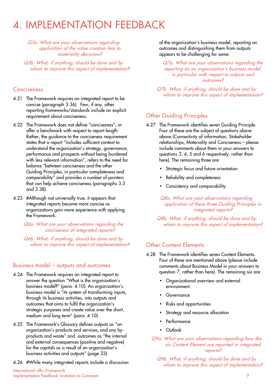Q5a. What are your observations regarding application of the value creation lens to materiality decisions?

Q5b. What, if anything, should be done and by whom to improve this aspect of implementation?

#### **Conciseness**

- 4.21 The Framework requires an integrated report to be concise (paragraph 3.36). Few, if any, other reporting frameworks/standards include an explicit requirement about conciseness.
- 4.22 The Framework does not define "conciseness", or offer a benchmark with respect to report length. Rather, the guidance to the conciseness requirement states that a report "includes sufficient context to understand the organization's strategy, governance, performance and prospects without being burdened with less relevant information", refers to the need for balance "between conciseness and the other Guiding Principles, in particular completeness and comparability" and provides a number of pointers that can help achieve conciseness (paragraphs 3.3 and 3.38).
- 4.23 #Although not universally true, it appears that integrated reports become more concise as organizations gain more experience with applying the Framework.

Q6a. What are your observations regarding the conciseness of integrated reports?

Q6b. What, if anything, should be done and by whom to improve this aspect of implementation?

#### Business model – outputs and outcomes

- 4.24 The Framework requires an integrated report to answer the question "What is the organization's business model?" (para. 4.10). An organization's business model is "its system of transforming inputs, through its business activities, into outputs and outcomes that aims to fulfil the organization's strategic purposes and create value over the short, medium and long term" (para. 4.10).
- 4.25 The Framework's Glossary defines outputs as "an organization's products and services, and any byproducts and waste" and .outcomes as "the internal and external consequences (positive and negative) for the capitals as a result of an organization's business activities and outputs" (page 33).
- 4.26 #While many integrated reports include a discussion

of the organization's business model, reporting on outcomes and distinguishing them from outputs appears to be challenging for some.

Q7a. What are your observations regarding the reporting on an organization's business model, in particular with respect to outputs and outcomes?

Q7b. What, if anything, should be done and by whom to improve this aspect of implementation?

### Other Guiding Principles

- 4.27 The Framework identifies seven Guiding Principle. Four of these are the subject of questions above above (Connectivity of information, Stakeholder relationships, Materiality and Conciseness – please include comments about them in your answers to questions 3, 4, 5 and 6 respectively, rather than here). The remaining three are:
	- Strategic focus and future orientation
	- Reliability and completeness
	- Consistency and comparability.

Q8a. What are your observations regarding application of these three Guiding Principles in integrated reports?

Q8b. What, if anything, should be done and by whom to improve this aspect of implementation?

#### Other Content Elements

- 4.28 The Framework identifies seven Content Elements. Four of these are mentioned above (please include comments about Business Model in your answers to question 7, rather than here). The remaining six are:
	- Organizational overview and external environment
	- Governance
	- Risks and opportunities
	- Strategy and resource allocation
	- Performance
	- Outlook
	- Q9a. What are your observations regarding how the six Content Element are reported in integrated reports?

Q9b. What, if anything, should be done and by whom to improve this aspect of implementation?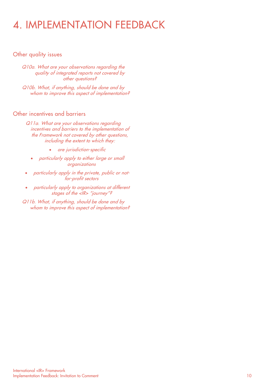#### Other quality issues

Q10a. What are your observations regarding the quality of integrated reports not covered by other questions?

Q10b. What, if anything, should be done and by whom to improve this aspect of implementation?

#### Other incentives and barriers

Q11a. What are your observations regarding incentives and barriers to the implementation of the Framework not covered by other questions, including the extent to which they:

- are jurisdiction-specific
- particularly apply to either large or small organizations
- particularly apply in the private, public or notfor-profit sectors
- particularly apply to organizations at different stages of the <IR> "journey"?
- Q11b. What, if anything, should be done and by whom to improve this aspect of implementation?